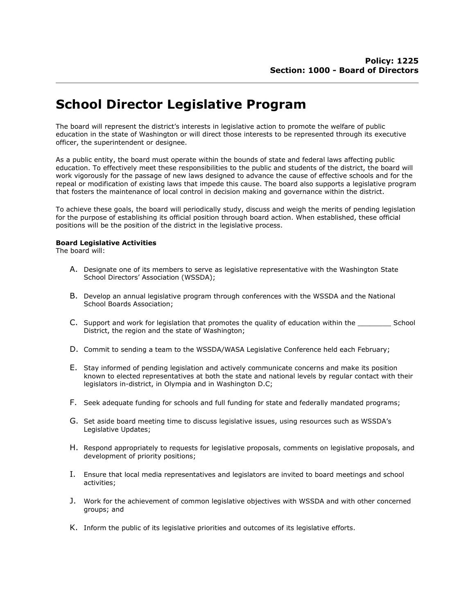## School Director Legislative Program

The board will represent the district's interests in legislative action to promote the welfare of public education in the state of Washington or will direct those interests to be represented through its executive officer, the superintendent or designee.

As a public entity, the board must operate within the bounds of state and federal laws affecting public education. To effectively meet these responsibilities to the public and students of the district, the board will work vigorously for the passage of new laws designed to advance the cause of effective schools and for the repeal or modification of existing laws that impede this cause. The board also supports a legislative program that fosters the maintenance of local control in decision making and governance within the district.

To achieve these goals, the board will periodically study, discuss and weigh the merits of pending legislation for the purpose of establishing its official position through board action. When established, these official positions will be the position of the district in the legislative process.

## Board Legislative Activities

The board will:

- A. Designate one of its members to serve as legislative representative with the Washington State School Directors' Association (WSSDA);
- B. Develop an annual legislative program through conferences with the WSSDA and the National School Boards Association;
- C. Support and work for legislation that promotes the quality of education within the School District, the region and the state of Washington;
- D. Commit to sending a team to the WSSDA/WASA Legislative Conference held each February;
- E. Stay informed of pending legislation and actively communicate concerns and make its position known to elected representatives at both the state and national levels by regular contact with their legislators in-district, in Olympia and in Washington D.C;
- F. Seek adequate funding for schools and full funding for state and federally mandated programs;
- G. Set aside board meeting time to discuss legislative issues, using resources such as WSSDA's Legislative Updates;
- H. Respond appropriately to requests for legislative proposals, comments on legislative proposals, and development of priority positions;
- I. Ensure that local media representatives and legislators are invited to board meetings and school activities;
- J. Work for the achievement of common legislative objectives with WSSDA and with other concerned groups; and
- K. Inform the public of its legislative priorities and outcomes of its legislative efforts.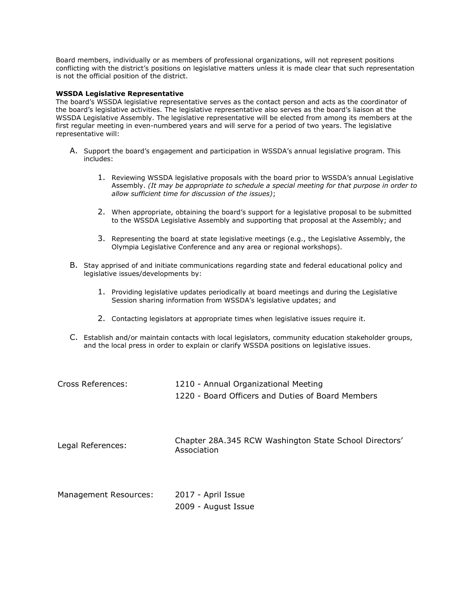Board members, individually or as members of professional organizations, will not represent positions conflicting with the district's positions on legislative matters unless it is made clear that such representation is not the official position of the district.

## WSSDA Legislative Representative

The board's WSSDA legislative representative serves as the contact person and acts as the coordinator of the board's legislative activities. The legislative representative also serves as the board's liaison at the WSSDA Legislative Assembly. The legislative representative will be elected from among its members at the first regular meeting in even-numbered years and will serve for a period of two years. The legislative representative will:

- A. Support the board's engagement and participation in WSSDA's annual legislative program. This includes:
	- 1. Reviewing WSSDA legislative proposals with the board prior to WSSDA's annual Legislative Assembly. (It may be appropriate to schedule a special meeting for that purpose in order to allow sufficient time for discussion of the issues);
	- 2. When appropriate, obtaining the board's support for a legislative proposal to be submitted to the WSSDA Legislative Assembly and supporting that proposal at the Assembly; and
	- 3. Representing the board at state legislative meetings (e.g., the Legislative Assembly, the Olympia Legislative Conference and any area or regional workshops).
- B. Stay apprised of and initiate communications regarding state and federal educational policy and legislative issues/developments by:
	- 1. Providing legislative updates periodically at board meetings and during the Legislative Session sharing information from WSSDA's legislative updates; and
	- 2. Contacting legislators at appropriate times when legislative issues require it.
- C. Establish and/or maintain contacts with local legislators, community education stakeholder groups, and the local press in order to explain or clarify WSSDA positions on legislative issues.

| Cross References:     | 1210 - Annual Organizational Meeting<br>1220 - Board Officers and Duties of Board Members |
|-----------------------|-------------------------------------------------------------------------------------------|
| Legal References:     | Chapter 28A.345 RCW Washington State School Directors'<br>Association                     |
| Management Resources: | 2017 - April Issue<br>2009 - August Issue                                                 |